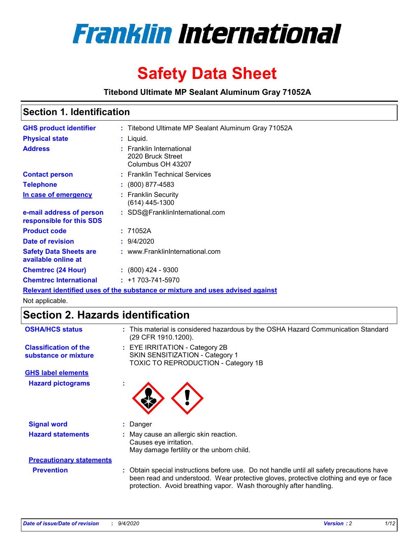

# **Safety Data Sheet**

**Titebond Ultimate MP Sealant Aluminum Gray 71052A**

### **Section 1. Identification**

| <b>GHS product identifier</b>                        | : Titebond Ultimate MP Sealant Aluminum Gray 71052A                           |
|------------------------------------------------------|-------------------------------------------------------------------------------|
| <b>Physical state</b>                                | : Liquid.                                                                     |
| <b>Address</b>                                       | : Franklin International<br>2020 Bruck Street<br>Columbus OH 43207            |
| <b>Contact person</b>                                | : Franklin Technical Services                                                 |
| <b>Telephone</b>                                     | $\colon$ (800) 877-4583                                                       |
| In case of emergency                                 | : Franklin Security<br>(614) 445-1300                                         |
| e-mail address of person<br>responsible for this SDS | : SDS@FranklinInternational.com                                               |
| <b>Product code</b>                                  | : 71052A                                                                      |
| Date of revision                                     | 9/4/2020                                                                      |
| <b>Safety Data Sheets are</b><br>available online at | : www.FranklinInternational.com                                               |
| <b>Chemtrec (24 Hour)</b>                            | $\cdot$ (800) 424 - 9300                                                      |
| <b>Chemtrec International</b>                        | $: +1703 - 741 - 5970$                                                        |
|                                                      | Relevant identified uses of the substance or mixture and uses advised against |

Not applicable.

## **Section 2. Hazards identification**

| <b>OSHA/HCS status</b>                               |    | : This material is considered hazardous by the OSHA Hazard Communication Standard<br>(29 CFR 1910.1200).                                                                                                                                                 |
|------------------------------------------------------|----|----------------------------------------------------------------------------------------------------------------------------------------------------------------------------------------------------------------------------------------------------------|
| <b>Classification of the</b><br>substance or mixture |    | : EYE IRRITATION - Category 2B<br>SKIN SENSITIZATION - Category 1<br>TOXIC TO REPRODUCTION - Category 1B                                                                                                                                                 |
| <b>GHS label elements</b>                            |    |                                                                                                                                                                                                                                                          |
| <b>Hazard pictograms</b>                             | ×. |                                                                                                                                                                                                                                                          |
| <b>Signal word</b>                                   | t. | Danger                                                                                                                                                                                                                                                   |
| <b>Hazard statements</b>                             |    | May cause an allergic skin reaction.<br>Causes eye irritation.<br>May damage fertility or the unborn child.                                                                                                                                              |
| <b>Precautionary statements</b>                      |    |                                                                                                                                                                                                                                                          |
| <b>Prevention</b>                                    |    | : Obtain special instructions before use. Do not handle until all safety precautions have<br>been read and understood. Wear protective gloves, protective clothing and eye or face<br>protection. Avoid breathing vapor. Wash thoroughly after handling. |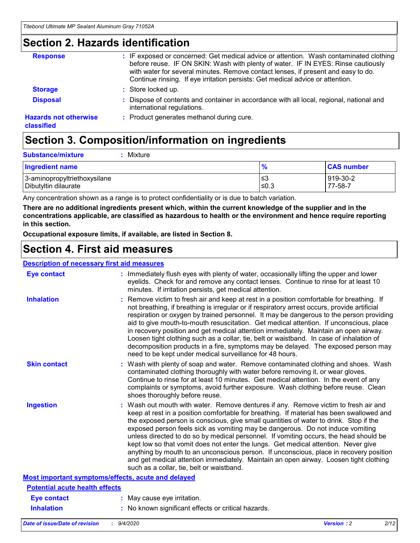### **Section 2. Hazards identification**

| <b>Response</b>                            | : IF exposed or concerned: Get medical advice or attention. Wash contaminated clothing<br>before reuse. IF ON SKIN: Wash with plenty of water. IF IN EYES: Rinse cautiously<br>with water for several minutes. Remove contact lenses, if present and easy to do.<br>Continue rinsing. If eye irritation persists: Get medical advice or attention. |
|--------------------------------------------|----------------------------------------------------------------------------------------------------------------------------------------------------------------------------------------------------------------------------------------------------------------------------------------------------------------------------------------------------|
| <b>Storage</b>                             | : Store locked up.                                                                                                                                                                                                                                                                                                                                 |
| <b>Disposal</b>                            | : Dispose of contents and container in accordance with all local, regional, national and<br>international regulations.                                                                                                                                                                                                                             |
| <b>Hazards not otherwise</b><br>classified | : Product generates methanol during cure.                                                                                                                                                                                                                                                                                                          |

## **Section 3. Composition/information on ingredients**

| <b>Substance/mixture</b> | : Mixture |
|--------------------------|-----------|
|                          |           |

| <b>Ingredient name</b>       | $\mathbf{0}$<br>70 | <b>CAS number</b> |
|------------------------------|--------------------|-------------------|
| 3-aminopropyltriethoxysilane | צ≥                 | 919-30-2          |
| Dibutyltin dilaurate         | ∣≤0.3              | 77-58-7           |

Any concentration shown as a range is to protect confidentiality or is due to batch variation.

**There are no additional ingredients present which, within the current knowledge of the supplier and in the concentrations applicable, are classified as hazardous to health or the environment and hence require reporting in this section.**

**Occupational exposure limits, if available, are listed in Section 8.**

### **Section 4. First aid measures**

| <b>Description of necessary first aid measures</b> |                                                                                                                                                                                                                                                                                                                                                                                                                                                                                                                                                                                                                                                                                                                                                                           |
|----------------------------------------------------|---------------------------------------------------------------------------------------------------------------------------------------------------------------------------------------------------------------------------------------------------------------------------------------------------------------------------------------------------------------------------------------------------------------------------------------------------------------------------------------------------------------------------------------------------------------------------------------------------------------------------------------------------------------------------------------------------------------------------------------------------------------------------|
| <b>Eye contact</b>                                 | : Immediately flush eyes with plenty of water, occasionally lifting the upper and lower<br>eyelids. Check for and remove any contact lenses. Continue to rinse for at least 10<br>minutes. If irritation persists, get medical attention.                                                                                                                                                                                                                                                                                                                                                                                                                                                                                                                                 |
| <b>Inhalation</b>                                  | : Remove victim to fresh air and keep at rest in a position comfortable for breathing. If<br>not breathing, if breathing is irregular or if respiratory arrest occurs, provide artificial<br>respiration or oxygen by trained personnel. It may be dangerous to the person providing<br>aid to give mouth-to-mouth resuscitation. Get medical attention. If unconscious, place<br>in recovery position and get medical attention immediately. Maintain an open airway.<br>Loosen tight clothing such as a collar, tie, belt or waistband. In case of inhalation of<br>decomposition products in a fire, symptoms may be delayed. The exposed person may<br>need to be kept under medical surveillance for 48 hours.                                                       |
| <b>Skin contact</b>                                | : Wash with plenty of soap and water. Remove contaminated clothing and shoes. Wash<br>contaminated clothing thoroughly with water before removing it, or wear gloves.<br>Continue to rinse for at least 10 minutes. Get medical attention. In the event of any<br>complaints or symptoms, avoid further exposure. Wash clothing before reuse. Clean<br>shoes thoroughly before reuse.                                                                                                                                                                                                                                                                                                                                                                                     |
| <b>Ingestion</b>                                   | : Wash out mouth with water. Remove dentures if any. Remove victim to fresh air and<br>keep at rest in a position comfortable for breathing. If material has been swallowed and<br>the exposed person is conscious, give small quantities of water to drink. Stop if the<br>exposed person feels sick as vomiting may be dangerous. Do not induce vomiting<br>unless directed to do so by medical personnel. If vomiting occurs, the head should be<br>kept low so that vomit does not enter the lungs. Get medical attention. Never give<br>anything by mouth to an unconscious person. If unconscious, place in recovery position<br>and get medical attention immediately. Maintain an open airway. Loosen tight clothing<br>such as a collar, tie, belt or waistband. |
| Most important symptoms/effects, acute and delayed |                                                                                                                                                                                                                                                                                                                                                                                                                                                                                                                                                                                                                                                                                                                                                                           |
| <b>Potential acute health effects</b>              |                                                                                                                                                                                                                                                                                                                                                                                                                                                                                                                                                                                                                                                                                                                                                                           |
| <b>Eye contact</b>                                 | : May cause eye irritation.                                                                                                                                                                                                                                                                                                                                                                                                                                                                                                                                                                                                                                                                                                                                               |
| <b>Inhalation</b>                                  | : No known significant effects or critical hazards.                                                                                                                                                                                                                                                                                                                                                                                                                                                                                                                                                                                                                                                                                                                       |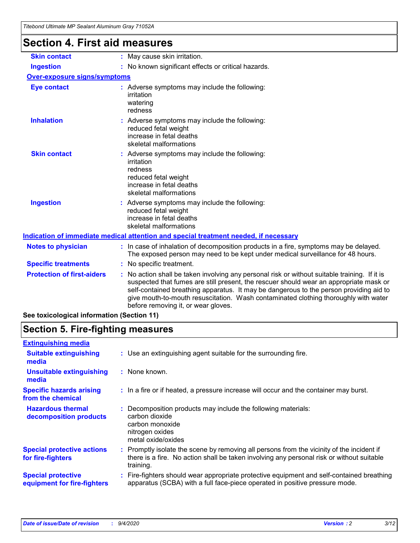### **Section 4. First aid measures Notes to physician :** In case of inhalation of decomposition products in a fire, symptoms may be delayed. The exposed person may need to be kept under medical surveillance for 48 hours. **Specific treatments :** No specific treatment. **Ingestion :** No known significant effects or critical hazards. **Skin contact :** May cause skin irritation. **Over-exposure signs/symptoms Skin contact Ingestion Inhalation 1. Interve**: Adverse symptoms may include the following: reduced fetal weight increase in fetal deaths skeletal malformations Adverse symptoms may include the following: **:** reduced fetal weight increase in fetal deaths skeletal malformations Adverse symptoms may include the following: **:** irritation redness reduced fetal weight increase in fetal deaths skeletal malformations **Eye contact :** Adverse symptoms may include the following: irritation watering redness **Indication of immediate medical attention and special treatment needed, if necessary**

| <b>Protection of first-aiders</b> | : No action shall be taken involving any personal risk or without suitable training. If it is<br>suspected that fumes are still present, the rescuer should wear an appropriate mask or<br>self-contained breathing apparatus. It may be dangerous to the person providing aid to<br>give mouth-to-mouth resuscitation. Wash contaminated clothing thoroughly with water<br>before removing it, or wear gloves. |
|-----------------------------------|-----------------------------------------------------------------------------------------------------------------------------------------------------------------------------------------------------------------------------------------------------------------------------------------------------------------------------------------------------------------------------------------------------------------|
|                                   |                                                                                                                                                                                                                                                                                                                                                                                                                 |

**See toxicological information (Section 11)**

### **Section 5. Fire-fighting measures**

| <b>Extinguishing media</b>                               |                                                                                                                                                                                                     |
|----------------------------------------------------------|-----------------------------------------------------------------------------------------------------------------------------------------------------------------------------------------------------|
| <b>Suitable extinguishing</b><br>media                   | : Use an extinguishing agent suitable for the surrounding fire.                                                                                                                                     |
| <b>Unsuitable extinguishing</b><br>media                 | : None known.                                                                                                                                                                                       |
| <b>Specific hazards arising</b><br>from the chemical     | : In a fire or if heated, a pressure increase will occur and the container may burst.                                                                                                               |
| <b>Hazardous thermal</b><br>decomposition products       | : Decomposition products may include the following materials:<br>carbon dioxide<br>carbon monoxide<br>nitrogen oxides<br>metal oxide/oxides                                                         |
| <b>Special protective actions</b><br>for fire-fighters   | : Promptly isolate the scene by removing all persons from the vicinity of the incident if<br>there is a fire. No action shall be taken involving any personal risk or without suitable<br>training. |
| <b>Special protective</b><br>equipment for fire-fighters | Fire-fighters should wear appropriate protective equipment and self-contained breathing<br>apparatus (SCBA) with a full face-piece operated in positive pressure mode.                              |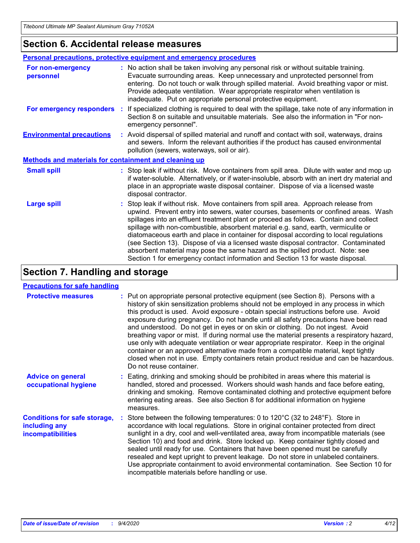### **Section 6. Accidental release measures**

|                                                              | Personal precautions, protective equipment and emergency procedures                                                                                                                                                                                                                                                                                                                                                                                                                                                                                                                                                                                                                                          |
|--------------------------------------------------------------|--------------------------------------------------------------------------------------------------------------------------------------------------------------------------------------------------------------------------------------------------------------------------------------------------------------------------------------------------------------------------------------------------------------------------------------------------------------------------------------------------------------------------------------------------------------------------------------------------------------------------------------------------------------------------------------------------------------|
| For non-emergency<br>personnel                               | : No action shall be taken involving any personal risk or without suitable training.<br>Evacuate surrounding areas. Keep unnecessary and unprotected personnel from<br>entering. Do not touch or walk through spilled material. Avoid breathing vapor or mist.<br>Provide adequate ventilation. Wear appropriate respirator when ventilation is<br>inadequate. Put on appropriate personal protective equipment.                                                                                                                                                                                                                                                                                             |
| For emergency responders                                     | : If specialized clothing is required to deal with the spillage, take note of any information in<br>Section 8 on suitable and unsuitable materials. See also the information in "For non-<br>emergency personnel".                                                                                                                                                                                                                                                                                                                                                                                                                                                                                           |
| <b>Environmental precautions</b>                             | : Avoid dispersal of spilled material and runoff and contact with soil, waterways, drains<br>and sewers. Inform the relevant authorities if the product has caused environmental<br>pollution (sewers, waterways, soil or air).                                                                                                                                                                                                                                                                                                                                                                                                                                                                              |
| <b>Methods and materials for containment and cleaning up</b> |                                                                                                                                                                                                                                                                                                                                                                                                                                                                                                                                                                                                                                                                                                              |
| <b>Small spill</b>                                           | : Stop leak if without risk. Move containers from spill area. Dilute with water and mop up<br>if water-soluble. Alternatively, or if water-insoluble, absorb with an inert dry material and<br>place in an appropriate waste disposal container. Dispose of via a licensed waste<br>disposal contractor.                                                                                                                                                                                                                                                                                                                                                                                                     |
| <b>Large spill</b>                                           | : Stop leak if without risk. Move containers from spill area. Approach release from<br>upwind. Prevent entry into sewers, water courses, basements or confined areas. Wash<br>spillages into an effluent treatment plant or proceed as follows. Contain and collect<br>spillage with non-combustible, absorbent material e.g. sand, earth, vermiculite or<br>diatomaceous earth and place in container for disposal according to local regulations<br>(see Section 13). Dispose of via a licensed waste disposal contractor. Contaminated<br>absorbent material may pose the same hazard as the spilled product. Note: see<br>Section 1 for emergency contact information and Section 13 for waste disposal. |

## **Section 7. Handling and storage**

### **Precautions for safe handling**

| <b>Protective measures</b>                                                       | : Put on appropriate personal protective equipment (see Section 8). Persons with a<br>history of skin sensitization problems should not be employed in any process in which<br>this product is used. Avoid exposure - obtain special instructions before use. Avoid<br>exposure during pregnancy. Do not handle until all safety precautions have been read<br>and understood. Do not get in eyes or on skin or clothing. Do not ingest. Avoid<br>breathing vapor or mist. If during normal use the material presents a respiratory hazard,<br>use only with adequate ventilation or wear appropriate respirator. Keep in the original<br>container or an approved alternative made from a compatible material, kept tightly<br>closed when not in use. Empty containers retain product residue and can be hazardous.<br>Do not reuse container. |
|----------------------------------------------------------------------------------|--------------------------------------------------------------------------------------------------------------------------------------------------------------------------------------------------------------------------------------------------------------------------------------------------------------------------------------------------------------------------------------------------------------------------------------------------------------------------------------------------------------------------------------------------------------------------------------------------------------------------------------------------------------------------------------------------------------------------------------------------------------------------------------------------------------------------------------------------|
| <b>Advice on general</b><br>occupational hygiene                                 | : Eating, drinking and smoking should be prohibited in areas where this material is<br>handled, stored and processed. Workers should wash hands and face before eating,<br>drinking and smoking. Remove contaminated clothing and protective equipment before<br>entering eating areas. See also Section 8 for additional information on hygiene<br>measures.                                                                                                                                                                                                                                                                                                                                                                                                                                                                                    |
| <b>Conditions for safe storage,</b><br>including any<br><i>incompatibilities</i> | Store between the following temperatures: 0 to 120°C (32 to 248°F). Store in<br>accordance with local regulations. Store in original container protected from direct<br>sunlight in a dry, cool and well-ventilated area, away from incompatible materials (see<br>Section 10) and food and drink. Store locked up. Keep container tightly closed and<br>sealed until ready for use. Containers that have been opened must be carefully<br>resealed and kept upright to prevent leakage. Do not store in unlabeled containers.<br>Use appropriate containment to avoid environmental contamination. See Section 10 for<br>incompatible materials before handling or use.                                                                                                                                                                         |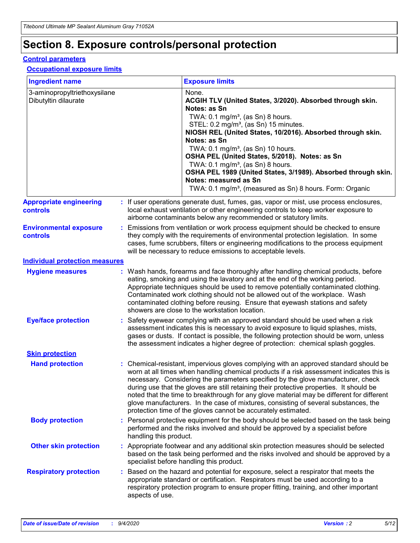## **Section 8. Exposure controls/personal protection**

### **Control parameters**

#### **Occupational exposure limits**

| <b>Ingredient name</b>                               |    |                        | <b>Exposure limits</b>                                                                                                                                                                                                                                                                                                                                                                                                                                                                                                                                                                                                 |
|------------------------------------------------------|----|------------------------|------------------------------------------------------------------------------------------------------------------------------------------------------------------------------------------------------------------------------------------------------------------------------------------------------------------------------------------------------------------------------------------------------------------------------------------------------------------------------------------------------------------------------------------------------------------------------------------------------------------------|
| 3-aminopropyltriethoxysilane<br>Dibutyltin dilaurate |    |                        | None.<br>ACGIH TLV (United States, 3/2020). Absorbed through skin.<br>Notes: as Sn<br>TWA: 0.1 mg/m <sup>3</sup> , (as Sn) 8 hours.<br>STEL: 0.2 mg/m <sup>3</sup> , (as Sn) 15 minutes.<br>NIOSH REL (United States, 10/2016). Absorbed through skin.<br>Notes: as Sn<br>TWA: 0.1 mg/m <sup>3</sup> , (as Sn) 10 hours.<br>OSHA PEL (United States, 5/2018). Notes: as Sn<br>TWA: $0.1 \text{ mg/m}^3$ , (as Sn) 8 hours.<br>OSHA PEL 1989 (United States, 3/1989). Absorbed through skin.<br>Notes: measured as Sn<br>TWA: 0.1 mg/m <sup>3</sup> , (measured as Sn) 8 hours. Form: Organic                           |
| <b>Appropriate engineering</b><br>controls           |    |                        | : If user operations generate dust, fumes, gas, vapor or mist, use process enclosures,<br>local exhaust ventilation or other engineering controls to keep worker exposure to<br>airborne contaminants below any recommended or statutory limits.                                                                                                                                                                                                                                                                                                                                                                       |
| <b>Environmental exposure</b><br><b>controls</b>     |    |                        | Emissions from ventilation or work process equipment should be checked to ensure<br>they comply with the requirements of environmental protection legislation. In some<br>cases, fume scrubbers, filters or engineering modifications to the process equipment<br>will be necessary to reduce emissions to acceptable levels.                                                                                                                                                                                                                                                                                          |
| <b>Individual protection measures</b>                |    |                        |                                                                                                                                                                                                                                                                                                                                                                                                                                                                                                                                                                                                                        |
| <b>Hygiene measures</b>                              |    |                        | : Wash hands, forearms and face thoroughly after handling chemical products, before<br>eating, smoking and using the lavatory and at the end of the working period.<br>Appropriate techniques should be used to remove potentially contaminated clothing.<br>Contaminated work clothing should not be allowed out of the workplace. Wash<br>contaminated clothing before reusing. Ensure that eyewash stations and safety<br>showers are close to the workstation location.                                                                                                                                            |
| <b>Eye/face protection</b>                           |    |                        | : Safety eyewear complying with an approved standard should be used when a risk<br>assessment indicates this is necessary to avoid exposure to liquid splashes, mists,<br>gases or dusts. If contact is possible, the following protection should be worn, unless<br>the assessment indicates a higher degree of protection: chemical splash goggles.                                                                                                                                                                                                                                                                  |
| <b>Skin protection</b>                               |    |                        |                                                                                                                                                                                                                                                                                                                                                                                                                                                                                                                                                                                                                        |
| <b>Hand protection</b>                               |    |                        | : Chemical-resistant, impervious gloves complying with an approved standard should be<br>worn at all times when handling chemical products if a risk assessment indicates this is<br>necessary. Considering the parameters specified by the glove manufacturer, check<br>during use that the gloves are still retaining their protective properties. It should be<br>noted that the time to breakthrough for any glove material may be different for different<br>glove manufacturers. In the case of mixtures, consisting of several substances, the<br>protection time of the gloves cannot be accurately estimated. |
| <b>Body protection</b>                               |    | handling this product. | Personal protective equipment for the body should be selected based on the task being<br>performed and the risks involved and should be approved by a specialist before                                                                                                                                                                                                                                                                                                                                                                                                                                                |
| <b>Other skin protection</b>                         |    |                        | : Appropriate footwear and any additional skin protection measures should be selected<br>based on the task being performed and the risks involved and should be approved by a<br>specialist before handling this product.                                                                                                                                                                                                                                                                                                                                                                                              |
| <b>Respiratory protection</b>                        | ÷. | aspects of use.        | Based on the hazard and potential for exposure, select a respirator that meets the<br>appropriate standard or certification. Respirators must be used according to a<br>respiratory protection program to ensure proper fitting, training, and other important                                                                                                                                                                                                                                                                                                                                                         |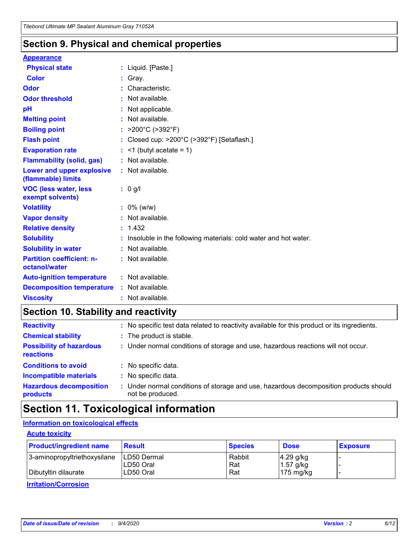### **Section 9. Physical and chemical properties**

#### **Appearance**

| <b>Physical state</b>                             | : Liquid. [Paste.]                                              |
|---------------------------------------------------|-----------------------------------------------------------------|
| Color                                             | Gray.                                                           |
| Odor                                              | : Characteristic.                                               |
| <b>Odor threshold</b>                             | $:$ Not available.                                              |
| рH                                                | : Not applicable.                                               |
| <b>Melting point</b>                              | : Not available.                                                |
| <b>Boiling point</b>                              | : $>200^{\circ}$ C ( $>392^{\circ}$ F)                          |
| <b>Flash point</b>                                | : Closed cup: >200°C (>392°F) [Setaflash.]                      |
| <b>Evaporation rate</b>                           | $:$ <1 (butyl acetate = 1)                                      |
| <b>Flammability (solid, gas)</b>                  | : Not available.                                                |
| Lower and upper explosive<br>(flammable) limits   | : Not available.                                                |
| <b>VOC (less water, less</b><br>exempt solvents)  | : 0 g/l                                                         |
| <b>Volatility</b>                                 | $: 0\%$ (w/w)                                                   |
| <b>Vapor density</b>                              | : Not available.                                                |
| <b>Relative density</b>                           | : 1.432                                                         |
| <b>Solubility</b>                                 | Insoluble in the following materials: cold water and hot water. |
|                                                   |                                                                 |
| <b>Solubility in water</b>                        | : Not available.                                                |
| <b>Partition coefficient: n-</b><br>octanol/water | $:$ Not available.                                              |
| <b>Auto-ignition temperature</b>                  | : Not available.                                                |
| <b>Decomposition temperature</b>                  | : Not available.                                                |

## **Section 10. Stability and reactivity**

| <b>Reactivity</b>                            | : No specific test data related to reactivity available for this product or its ingredients.            |
|----------------------------------------------|---------------------------------------------------------------------------------------------------------|
| <b>Chemical stability</b>                    | : The product is stable.                                                                                |
| <b>Possibility of hazardous</b><br>reactions | : Under normal conditions of storage and use, hazardous reactions will not occur.                       |
| <b>Conditions to avoid</b>                   | : No specific data.                                                                                     |
| <b>Incompatible materials</b>                | : No specific data.                                                                                     |
| <b>Hazardous decomposition</b><br>products   | Under normal conditions of storage and use, hazardous decomposition products should<br>not be produced. |

## **Section 11. Toxicological information**

### **Information on toxicological effects**

### **Acute toxicity**

| <b>Product/ingredient name</b> | <b>Result</b>           | <b>Species</b> | <b>Dose</b>                | <b>Exposure</b> |
|--------------------------------|-------------------------|----------------|----------------------------|-----------------|
| 3-aminopropyltriethoxysilane   | <b>ILD50 Dermal</b>     | Rabbit         | 4.29 g/kg                  |                 |
| Dibutyltin dilaurate           | ILD50 Oral<br>LD50 Oral | Rat<br>Rat     | $1.57$ g/kg<br>175 $mg/kg$ |                 |
|                                |                         |                |                            |                 |

**Irritation/Corrosion**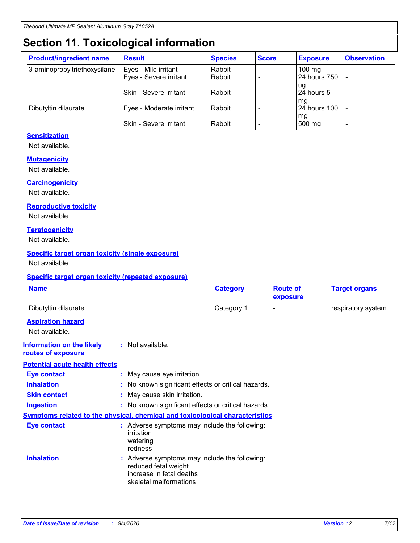## **Section 11. Toxicological information**

| <b>Product/ingredient name</b> | <b>Result</b>            | <b>Species</b> | <b>Score</b> | <b>Exposure</b>    | <b>Observation</b> |
|--------------------------------|--------------------------|----------------|--------------|--------------------|--------------------|
| 3-aminopropyltriethoxysilane   | Eyes - Mild irritant     | Rabbit         |              | $100$ mg           |                    |
|                                | Eyes - Severe irritant   | Rabbit         |              | 24 hours 750       |                    |
|                                |                          |                |              | ug                 |                    |
|                                | Skin - Severe irritant   | Rabbit         |              | 24 hours 5         | -                  |
| Dibutyltin dilaurate           | Eyes - Moderate irritant | Rabbit         |              | mg<br>24 hours 100 |                    |
|                                |                          |                |              | mg                 |                    |
|                                | Skin - Severe irritant   | Rabbit         |              | 500 mg             | -                  |

### **Sensitization**

Not available.

### **Mutagenicity**

Not available.

#### **Carcinogenicity**

Not available.

#### **Reproductive toxicity**

Not available.

### **Teratogenicity**

Not available.

### **Specific target organ toxicity (single exposure)**

Not available.

### **Specific target organ toxicity (repeated exposure)**

| <b>Name</b>                                                                         |                                                                            | <b>Category</b>                                     | <b>Route of</b><br>exposure | <b>Target organs</b> |  |  |
|-------------------------------------------------------------------------------------|----------------------------------------------------------------------------|-----------------------------------------------------|-----------------------------|----------------------|--|--|
| Dibutyltin dilaurate                                                                |                                                                            | Category 1                                          | -                           | respiratory system   |  |  |
| <b>Aspiration hazard</b><br>Not available.                                          |                                                                            |                                                     |                             |                      |  |  |
| <b>Information on the likely</b><br>routes of exposure                              | : Not available.                                                           |                                                     |                             |                      |  |  |
| <b>Potential acute health effects</b>                                               |                                                                            |                                                     |                             |                      |  |  |
| <b>Eye contact</b>                                                                  | : May cause eye irritation.                                                |                                                     |                             |                      |  |  |
| <b>Inhalation</b>                                                                   |                                                                            | : No known significant effects or critical hazards. |                             |                      |  |  |
| <b>Skin contact</b>                                                                 |                                                                            | : May cause skin irritation.                        |                             |                      |  |  |
| <b>Ingestion</b>                                                                    |                                                                            | : No known significant effects or critical hazards. |                             |                      |  |  |
| <b>Symptoms related to the physical, chemical and toxicological characteristics</b> |                                                                            |                                                     |                             |                      |  |  |
| <b>Eye contact</b>                                                                  | irritation<br>watering<br>redness                                          | : Adverse symptoms may include the following:       |                             |                      |  |  |
| <b>Inhalation</b>                                                                   | reduced fetal weight<br>increase in fetal deaths<br>skeletal malformations | : Adverse symptoms may include the following:       |                             |                      |  |  |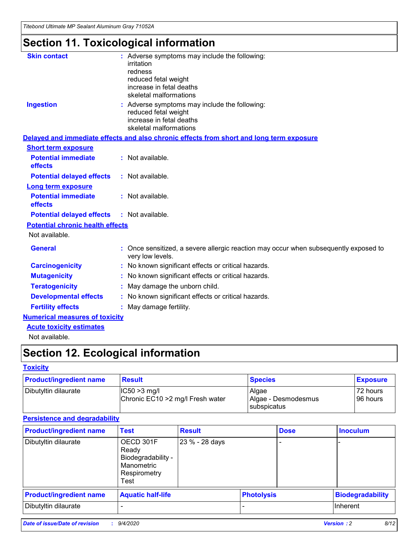*Titebond Ultimate MP Sealant Aluminum Gray 71052A*

## **Section 11. Toxicological information**

| <b>Skin contact</b>                     | : Adverse symptoms may include the following:<br>irritation<br>redness<br>reduced fetal weight<br>increase in fetal deaths<br>skeletal malformations |
|-----------------------------------------|------------------------------------------------------------------------------------------------------------------------------------------------------|
| <b>Ingestion</b>                        | : Adverse symptoms may include the following:<br>reduced fetal weight<br>increase in fetal deaths<br>skeletal malformations                          |
|                                         | Delayed and immediate effects and also chronic effects from short and long term exposure                                                             |
| <b>Short term exposure</b>              |                                                                                                                                                      |
| <b>Potential immediate</b><br>effects   | : Not available.                                                                                                                                     |
| <b>Potential delayed effects</b>        | : Not available.                                                                                                                                     |
| <b>Long term exposure</b>               |                                                                                                                                                      |
| <b>Potential immediate</b><br>effects   | : Not available.                                                                                                                                     |
| <b>Potential delayed effects</b>        | : Not available.                                                                                                                                     |
| <b>Potential chronic health effects</b> |                                                                                                                                                      |
| Not available.                          |                                                                                                                                                      |
| <b>General</b>                          | Once sensitized, a severe allergic reaction may occur when subsequently exposed to<br>very low levels.                                               |
| <b>Carcinogenicity</b>                  | No known significant effects or critical hazards.                                                                                                    |
| <b>Mutagenicity</b>                     | : No known significant effects or critical hazards.                                                                                                  |
| <b>Teratogenicity</b>                   | May damage the unborn child.                                                                                                                         |
| <b>Developmental effects</b>            | : No known significant effects or critical hazards.                                                                                                  |
| <b>Fertility effects</b>                | : May damage fertility.                                                                                                                              |
| <b>Numerical measures of toxicity</b>   |                                                                                                                                                      |
| <b>Acute toxicity estimates</b>         |                                                                                                                                                      |
| Not ovoilable                           |                                                                                                                                                      |

Not available.

## **Section 12. Ecological information**

### **Toxicity**

| <b>Product/ingredient name</b> | <b>Result</b>                                       | <b>Species</b>               | <b>Exposure</b>       |
|--------------------------------|-----------------------------------------------------|------------------------------|-----------------------|
| Dibutyltin dilaurate           | $ CC50>3$ mg/l<br>Chronic EC10 > 2 mg/l Fresh water | Algae<br>Algae - Desmodesmus | 72 hours<br>196 hours |
|                                |                                                     | <b>I</b> subspicatus         |                       |

### **Persistence and degradability**

| <b>Product/ingredient name</b> | <b>Test</b>                                                                    | <b>Result</b>  |                   | <b>Dose</b> | <b>Inoculum</b>         |
|--------------------------------|--------------------------------------------------------------------------------|----------------|-------------------|-------------|-------------------------|
| Dibutyltin dilaurate           | OECD 301F<br>Ready<br>Biodegradability -<br>Manometric<br>Respirometry<br>Test | 23 % - 28 days |                   |             |                         |
| <b>Product/ingredient name</b> | <b>Aquatic half-life</b>                                                       |                | <b>Photolysis</b> |             | <b>Biodegradability</b> |
| Dibutyltin dilaurate           |                                                                                |                |                   |             | <b>Inherent</b>         |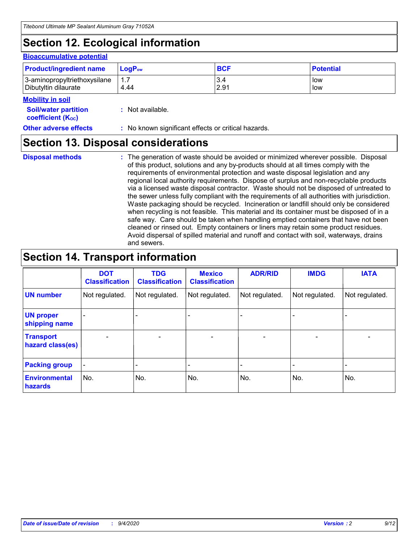## **Section 12. Ecological information**

#### **Bioaccumulative potential**

| <b>Product/ingredient name</b> | <b>LogP</b> <sub>ow</sub> | <b>BCF</b> | <b>Potential</b> |
|--------------------------------|---------------------------|------------|------------------|
| 3-aminopropyltriethoxysilane   | 4.44                      | 3.4        | low              |
| Dibutyltin dilaurate           |                           | 2.91       | low              |

#### **Mobility in soil**

| <b>Soil/water partition</b> | : Not available. |  |
|-----------------------------|------------------|--|
| <b>coefficient (Koc)</b>    |                  |  |

**Other adverse effects** : No known significant effects or critical hazards.

### **Section 13. Disposal considerations**

**Disposal methods :**

The generation of waste should be avoided or minimized wherever possible. Disposal of this product, solutions and any by-products should at all times comply with the requirements of environmental protection and waste disposal legislation and any regional local authority requirements. Dispose of surplus and non-recyclable products via a licensed waste disposal contractor. Waste should not be disposed of untreated to the sewer unless fully compliant with the requirements of all authorities with jurisdiction. Waste packaging should be recycled. Incineration or landfill should only be considered when recycling is not feasible. This material and its container must be disposed of in a safe way. Care should be taken when handling emptied containers that have not been cleaned or rinsed out. Empty containers or liners may retain some product residues. Avoid dispersal of spilled material and runoff and contact with soil, waterways, drains and sewers.

## **Section 14. Transport information**

|                                      | <b>DOT</b><br><b>Classification</b> | <b>TDG</b><br><b>Classification</b> | <b>Mexico</b><br><b>Classification</b> | <b>ADR/RID</b>           | <b>IMDG</b>              | <b>IATA</b>    |
|--------------------------------------|-------------------------------------|-------------------------------------|----------------------------------------|--------------------------|--------------------------|----------------|
| <b>UN number</b>                     | Not regulated.                      | Not regulated.                      | Not regulated.                         | Not regulated.           | Not regulated.           | Not regulated. |
| <b>UN proper</b><br>shipping name    |                                     |                                     |                                        |                          |                          |                |
| <b>Transport</b><br>hazard class(es) |                                     | $\overline{\phantom{0}}$            | $\qquad \qquad \blacksquare$           | $\overline{\phantom{0}}$ | $\overline{\phantom{0}}$ |                |
| <b>Packing group</b>                 |                                     |                                     |                                        |                          |                          |                |
| <b>Environmental</b><br>hazards      | No.                                 | No.                                 | No.                                    | No.                      | No.                      | No.            |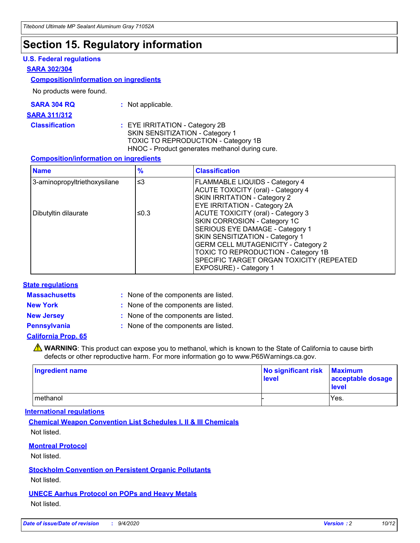## **Section 15. Regulatory information**

### **U.S. Federal regulations**

#### **SARA 302/304**

### **Composition/information on ingredients**

No products were found.

| SARA 304 RQ | Not applicable. |
|-------------|-----------------|
|-------------|-----------------|

#### **SARA 311/312**

**Classification :** EYE IRRITATION - Category 2B SKIN SENSITIZATION - Category 1 TOXIC TO REPRODUCTION - Category 1B HNOC - Product generates methanol during cure.

### **Composition/information on ingredients**

| <b>Name</b>                  | $\frac{9}{6}$ | <b>Classification</b>                                                                                                                                                                                                                                                                                      |
|------------------------------|---------------|------------------------------------------------------------------------------------------------------------------------------------------------------------------------------------------------------------------------------------------------------------------------------------------------------------|
| 3-aminopropyltriethoxysilane | $\leq$ 3      | <b>FLAMMABLE LIQUIDS - Category 4</b><br><b>ACUTE TOXICITY (oral) - Category 4</b><br><b>SKIN IRRITATION - Category 2</b><br><b>EYE IRRITATION - Category 2A</b>                                                                                                                                           |
| Dibutyltin dilaurate         | ≤0.3          | <b>ACUTE TOXICITY (oral) - Category 3</b><br>SKIN CORROSION - Category 1C<br>SERIOUS EYE DAMAGE - Category 1<br>SKIN SENSITIZATION - Category 1<br><b>GERM CELL MUTAGENICITY - Category 2</b><br>TOXIC TO REPRODUCTION - Category 1B<br>SPECIFIC TARGET ORGAN TOXICITY (REPEATED<br>EXPOSURE) - Category 1 |

### **State regulations**

**Massachusetts :**

: None of the components are listed.

**New York :** None of the components are listed.

**New Jersey :** None of the components are listed.

**Pennsylvania :** None of the components are listed.

### **California Prop. 65**

WARNING: This product can expose you to methanol, which is known to the State of California to cause birth defects or other reproductive harm. For more information go to www.P65Warnings.ca.gov.

| Ingredient name | No significant risk<br>level | <b>Maximum</b><br>acceptable dosage<br><b>level</b> |
|-----------------|------------------------------|-----------------------------------------------------|
| l methanol      |                              | Yes.                                                |

### **International regulations**

**Chemical Weapon Convention List Schedules I, II & III Chemicals** Not listed.

### **Montreal Protocol**

Not listed.

**Stockholm Convention on Persistent Organic Pollutants**

Not listed.

### **UNECE Aarhus Protocol on POPs and Heavy Metals** Not listed.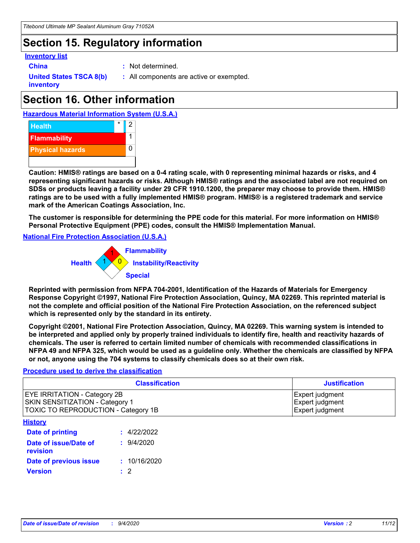## **Section 15. Regulatory information**

### **Inventory list**

- 
- **China :** Not determined.

**United States TSCA 8(b) inventory**

**:** All components are active or exempted.

## **Section 16. Other information**

**Hazardous Material Information System (U.S.A.)**



**Caution: HMIS® ratings are based on a 0-4 rating scale, with 0 representing minimal hazards or risks, and 4 representing significant hazards or risks. Although HMIS® ratings and the associated label are not required on SDSs or products leaving a facility under 29 CFR 1910.1200, the preparer may choose to provide them. HMIS® ratings are to be used with a fully implemented HMIS® program. HMIS® is a registered trademark and service mark of the American Coatings Association, Inc.**

**The customer is responsible for determining the PPE code for this material. For more information on HMIS® Personal Protective Equipment (PPE) codes, consult the HMIS® Implementation Manual.**

**National Fire Protection Association (U.S.A.)**



**Reprinted with permission from NFPA 704-2001, Identification of the Hazards of Materials for Emergency Response Copyright ©1997, National Fire Protection Association, Quincy, MA 02269. This reprinted material is not the complete and official position of the National Fire Protection Association, on the referenced subject which is represented only by the standard in its entirety.**

**Copyright ©2001, National Fire Protection Association, Quincy, MA 02269. This warning system is intended to be interpreted and applied only by properly trained individuals to identify fire, health and reactivity hazards of chemicals. The user is referred to certain limited number of chemicals with recommended classifications in NFPA 49 and NFPA 325, which would be used as a guideline only. Whether the chemicals are classified by NFPA or not, anyone using the 704 systems to classify chemicals does so at their own risk.**

### **Procedure used to derive the classification**

| <b>Classification</b>                                                                                                | <b>Justification</b>                                  |
|----------------------------------------------------------------------------------------------------------------------|-------------------------------------------------------|
| <b>EYE IRRITATION - Category 2B</b><br><b>SKIN SENSITIZATION - Category 1</b><br>TOXIC TO REPRODUCTION - Category 1B | Expert judgment<br>Expert judgment<br>Expert judgment |
| <b>History</b>                                                                                                       |                                                       |

| .                                 |              |
|-----------------------------------|--------------|
| <b>Date of printing</b>           | : 4/22/2022  |
| Date of issue/Date of<br>revision | 9/4/2020     |
| Date of previous issue            | : 10/16/2020 |
| <b>Version</b>                    | $\cdot$ 2    |
|                                   |              |